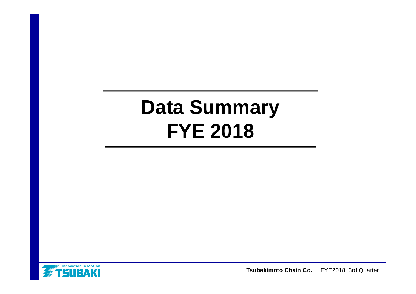# **Data Summary FYE 2018**

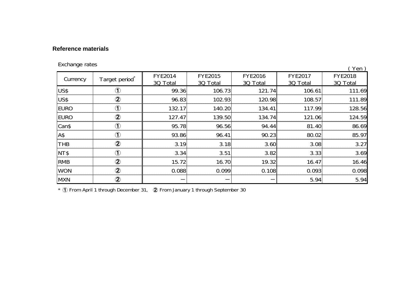#### **Reference materials**

| Exchange rates |                            |                     |                                                   |        |                            | Yen)                       |  |
|----------------|----------------------------|---------------------|---------------------------------------------------|--------|----------------------------|----------------------------|--|
| Currency       | Target period <sup>^</sup> | FYE2014<br>3Q Total | <b>FYE2016</b><br>FYE2015<br>3Q Total<br>3Q Total |        | <b>FYE2017</b><br>3Q Total | <b>FYE2018</b><br>3Q Total |  |
| US\$           | Œ                          | 99.36               | 106.73                                            | 121.74 | 106.61                     | 111.69                     |  |
| US\$           | $\circledZ$                | 96.83               | 102.93                                            | 120.98 | 108.57                     | 111.89                     |  |
| <b>EURO</b>    | $\bigcirc$                 | 132.17              | 140.20                                            | 134.41 | 117.99                     | 128.56                     |  |
| <b>EURO</b>    | $\circledZ$                | 127.47              | 139.50                                            | 134.74 | 121.06                     | 124.59                     |  |
| Can\$          | $\bigcirc$                 | 95.78               | 96.56                                             | 94.44  | 81.40                      | 86.69                      |  |
| A\$            | $\bigcirc$                 | 93.86               | 96.41                                             | 90.23  | 80.02                      | 85.97                      |  |
| <b>THB</b>     | $\ddot{\mathbf{2}}$        | 3.19                | 3.18                                              | 3.60   | 3.08                       | 3.27                       |  |
| NT\$           | $\bigcirc$                 | 3.34                | 3.51                                              | 3.82   | 3.33                       | 3.69                       |  |
| <b>RMB</b>     | $\circledZ$                | 15.72               | 16.70                                             | 19.32  | 16.47                      | 16.46                      |  |
| <b>WON</b>     | $\circledZ$                | 0.088               | 0.099                                             | 0.108  | 0.093                      | 0.098                      |  |
| <b>MXN</b>     | $\circledZ$                |                     |                                                   |        | 5.94                       | 5.94                       |  |

\* ① From April 1 through December 31, ② From January 1 through September 30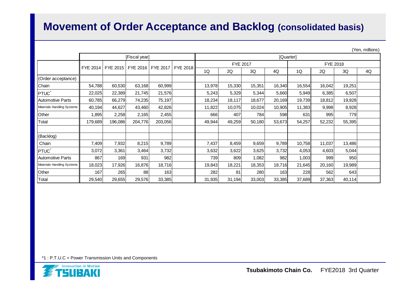#### **Movement of Order Acceptance and Backlog (consolidated basis)**

|                            |               |         |         |         |                                           |        |           |        |        |          |        | (Yen, millions) |    |  |  |
|----------------------------|---------------|---------|---------|---------|-------------------------------------------|--------|-----------|--------|--------|----------|--------|-----------------|----|--|--|
|                            | [Fiscal year] |         |         |         |                                           |        | [Quarter] |        |        |          |        |                 |    |  |  |
|                            |               |         |         |         | FYE 2015   FYE 2016   FYE 2017   FYE 2018 |        | FYE 2017  |        |        | FYE 2018 |        |                 |    |  |  |
|                            | FYE 2014      |         |         |         |                                           | 1Q     | 2Q        | 3Q     | 4Q     | 1Q       | 2Q     | 3Q              | 4Q |  |  |
| (Order acceptance)         |               |         |         |         |                                           |        |           |        |        |          |        |                 |    |  |  |
| Chain                      | 54,788        | 60,530  | 63,168  | 60,999  |                                           | 13,978 | 15,330    | 15,351 | 16,340 | 16,554   | 16,042 | 19,251          |    |  |  |
| PTUC <sup>®</sup>          | 22,025        | 22,389  | 21,745  | 21,576  |                                           | 5,243  | 5,329     | 5,344  | 5,660  | 5,949    | 6,385  | 6,507           |    |  |  |
| Automotive Parts           | 60,785        | 66,279  | 74,235  | 75,197  |                                           | 18,234 | 18,117    | 18,677 | 20,169 | 19,739   | 18,812 | 19,928          |    |  |  |
| Materials Handling Systems | 40,194        | 44,627  | 43,460  | 42,826  |                                           | 11,822 | 10,075    | 10,024 | 10,905 | 11,383   | 9,998  | 8,928           |    |  |  |
| Other                      | 1,895         | 2,258   | 2,165   | 2,455   |                                           | 666    | 407       | 784    | 598    | 631      | 995    | 779             |    |  |  |
| Total                      | 179,689       | 196,086 | 204,776 | 203,056 |                                           | 49,944 | 49,259    | 50,180 | 53,673 | 54,257   | 52,232 | 55,395          |    |  |  |
|                            |               |         |         |         |                                           |        |           |        |        |          |        |                 |    |  |  |
| (Backlog)                  |               |         |         |         |                                           |        |           |        |        |          |        |                 |    |  |  |
| Chain                      | 7,409         | 7,932   | 8,215   | 9,789   |                                           | 7,437  | 8,459     | 9,659  | 9,789  | 10,758   | 11,037 | 13,486          |    |  |  |
| <b>PTUC</b>                | 3,072         | 3,361   | 3,464   | 3,732   |                                           | 3,632  | 3,622     | 3,625  | 3,732  | 4,053    | 4,603  | 5,044           |    |  |  |
| Automotive Parts           | 867           | 169     | 931     | 982     |                                           | 739    | 809       | 1,082  | 982    | 1,003    | 999    | 950             |    |  |  |
| Materials Handling Systems | 18,023        | 17,926  | 16,876  | 18,716  |                                           | 19,843 | 18,221    | 18,353 | 18,716 | 21,645   | 20,160 | 19,989          |    |  |  |
| Other                      | 167           | 265     | 88      | 163     |                                           | 282    | 81        | 280    | 163    | 228      | 562    | 643             |    |  |  |
| Total                      | 29,540        | 29,655  | 29,576  | 33,385  |                                           | 31,935 | 31,194    | 33,003 | 33,385 | 37,689   | 37,363 | 40,114          |    |  |  |

\*1 : P.T.U.C = Power Transmission Units and Components

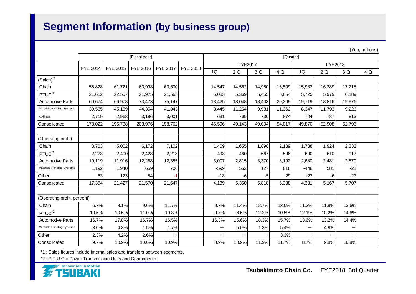### **Segment Information (by business group)**

|                             |                      | (101, 1111110110)<br>[Quarter] |                 |          |  |                          |        |        |         |        |                   |        |     |  |
|-----------------------------|----------------------|--------------------------------|-----------------|----------|--|--------------------------|--------|--------|---------|--------|-------------------|--------|-----|--|
|                             | [Fiscal year]        |                                |                 |          |  |                          |        |        |         |        |                   |        |     |  |
|                             | FYE 2014<br>FYE 2015 | FYE 2016                       | <b>FYE 2017</b> | FYE 2018 |  | FYE2017                  |        |        | FYE2018 |        |                   |        |     |  |
|                             |                      |                                |                 |          |  | 1Q                       | 2Q     | 3 Q    | 4 Q     | 1Q     | 2Q                | 3 Q    | 4 Q |  |
| $(Sales)^*$                 |                      |                                |                 |          |  |                          |        |        |         |        |                   |        |     |  |
| Chain                       | 55,828               | 61,721                         | 63,998          | 60,600   |  | 14,547                   | 14,562 | 14,980 | 16,509  | 15,982 | 16,289            | 17,218 |     |  |
| PTUC <sup>*2</sup>          | 21,612               | 22,557                         | 21,975          | 21,563   |  | 5,083                    | 5,369  | 5,455  | 5,654   | 5,725  | 5,979             | 6,189  |     |  |
| <b>Automotive Parts</b>     | 60,674               | 66,978                         | 73,473          | 75,147   |  | 18,425                   | 18,048 | 18,403 | 20,269  | 19,719 | 18,816            | 19,976 |     |  |
| Materials Handling Systems  | 39,565               | 45,169                         | 44,354          | 41,043   |  | 8,445                    | 11,254 | 9,981  | 11,362  | 8,347  | 11,793            | 9,226  |     |  |
| Other                       | 2,719                | 2,968                          | 3,186           | 3,001    |  | 631                      | 765    | 730    | 874     | 704    | 787               | 813    |     |  |
| Consolidated                | 178,022              | 196,738                        | 203,976         | 198,762  |  | 46,596                   | 49,143 | 49,004 | 54,017  | 49,870 | 52,908            | 52,796 |     |  |
|                             |                      |                                |                 |          |  |                          |        |        |         |        |                   |        |     |  |
| (Operating profit)          |                      |                                |                 |          |  |                          |        |        |         |        |                   |        |     |  |
| Chain                       | 3,763                | 5,002                          | 6,172           | 7,102    |  | 1,409                    | 1,655  | 1,898  | 2,139   | 1,788  | 1,924             | 2,332  |     |  |
| PTUC <sup>*2</sup>          | 2,273                | 2,400                          | 2,428           | 2,218    |  | 493                      | 460    | 667    | 596     | 690    | 610               | 917    |     |  |
| <b>Automotive Parts</b>     | 10,119               | 11,916                         | 12,258          | 12,385   |  | 3,007                    | 2,815  | 3,370  | 3,192   | 2,680  | 2,481             | 2,870  |     |  |
| Materials Handling Systems  | 1,192                | 1,940                          | 659             | 706      |  | $-599$                   | 562    | 127    | 616     | $-448$ | 581               | $-21$  |     |  |
| Other                       | 63                   | 123                            | 84              | $-1$     |  | $-18$                    | -6     | -51    | 29      | $-23$  | -6                | $-27$  |     |  |
| Consolidated                | 17,354               | 21,427                         | 21,570          | 21,647   |  | 4,139                    | 5,350  | 5,818  | 6,338   | 4,331  | 5,167             | 5,707  |     |  |
|                             |                      |                                |                 |          |  |                          |        |        |         |        |                   |        |     |  |
| (Operating profit, percent) |                      |                                |                 |          |  |                          |        |        |         |        |                   |        |     |  |
| Chain                       | 6.7%                 | 8.1%                           | 9.6%            | 11.7%    |  | 9.7%                     | 11.4%  | 12.7%  | 13.0%   | 11.2%  | 11.8%             | 13.5%  |     |  |
| PTUC <sup>*2</sup>          | 10.5%                | 10.6%                          | 11.0%           | 10.3%    |  | 9.7%                     | 8.6%   | 12.2%  | 10.5%   | 12.1%  | 10.2%             | 14.8%  |     |  |
| <b>Automotive Parts</b>     | 16.7%                | 17.8%                          | 16.7%           | 16.5%    |  | 16.3%                    | 15.6%  | 18.3%  | 15.7%   | 13.6%  | 13.2%             | 14.4%  |     |  |
| Materials Handling Systems  | 3.0%                 | 4.3%                           | 1.5%            | 1.7%     |  | —                        | 5.0%   | 1.3%   | 5.4%    | ÷      | 4.9%              |        |     |  |
| Other                       | 2.3%                 | 4.2%                           | 2.6%            | —        |  | $\overline{\phantom{0}}$ |        | —      | 3.3%    | —      | $\qquad \qquad -$ |        |     |  |
| Consolidated                | 9.7%                 | 10.9%                          | 10.6%           | 10.9%    |  | 8.9%                     | 10.9%  | 11.9%  | 11.7%   | 8.7%   | 9.8%              | 10.8%  |     |  |

\*1 : Sales figures include internal sales and transfers between segments.

\*2 : P.T.U.C = Power Transmission Units and Components



(Yen, millions)